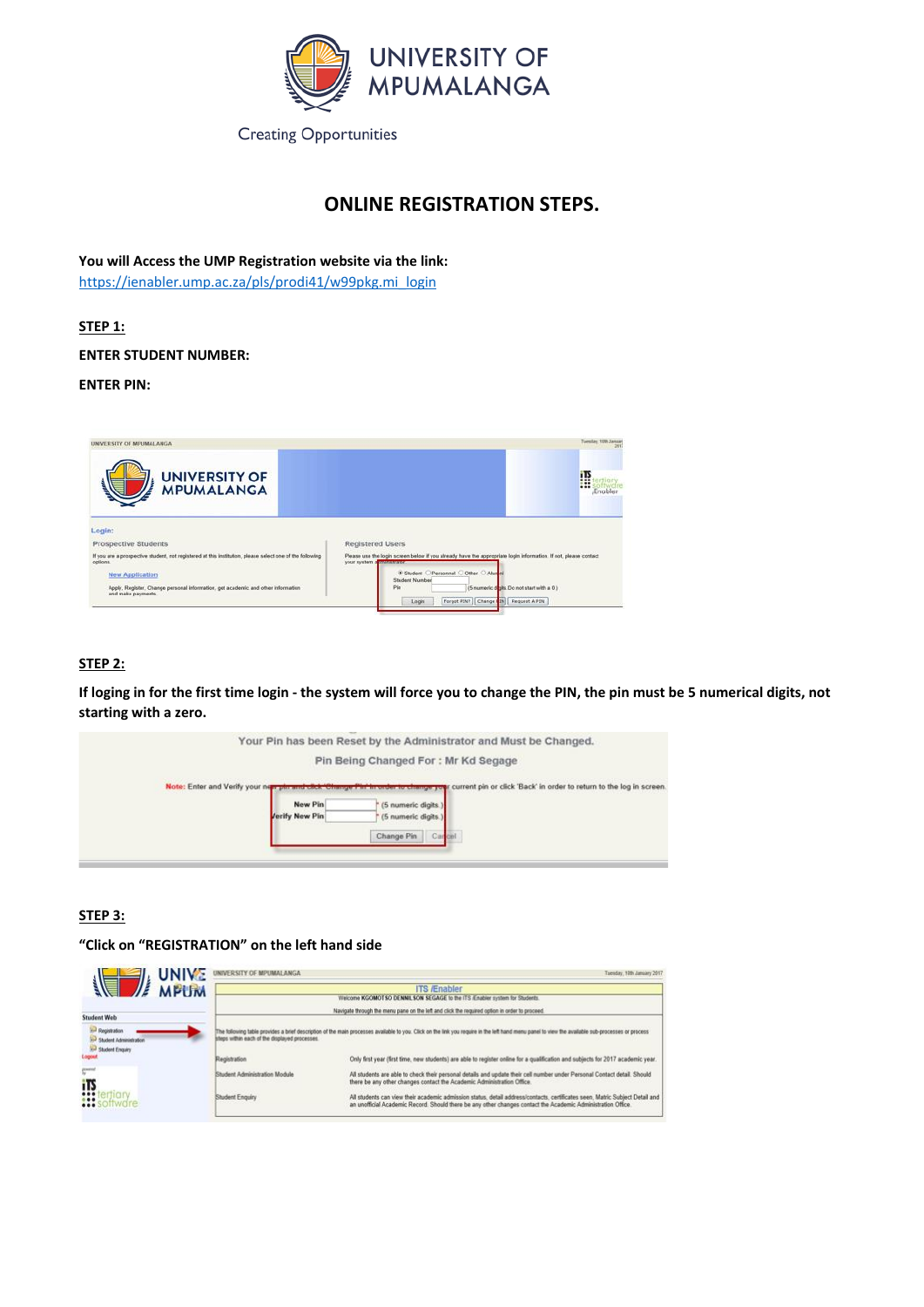

# **ONLINE REGISTRATION STEPS.**

**You will Access the UMP Registration website via the link:** [https://ienabler.ump.ac.za/pls/prodi41/w99pkg.mi\\_login](https://ienabler.ump.ac.za/pls/prodi41/w99pkg.mi_login)

# **STEP 1:**

**ENTER STUDENT NUMBER:**

**ENTER PIN:**



# **STEP 2:**

**If loging in for the first time login - the system will force you to change the PIN, the pin must be 5 numerical digits, not starting with a zero.**

|                                                                                                 | Your Pin has been Reset by the Administrator and Must be Changed.                                                                                                  |
|-------------------------------------------------------------------------------------------------|--------------------------------------------------------------------------------------------------------------------------------------------------------------------|
|                                                                                                 | Pin Being Changed For: Mr Kd Segage                                                                                                                                |
| Note: Enter and Verify your new pirr and cack 'Change Pin's<br>New Pin<br><b>Jerify New Pin</b> | thronder to change your current pin or click 'Back' in order to return to the log in screen.<br>(5 numeric digits.)<br>(5 numeric digits.)<br>Change Pin<br>Carcel |

# **STEP 3:**

**"Click on "REGISTRATION" on the left hand side**

|  | UNIVE UNIVERSITY OF MPUMALANGA |                     | Tuesday, 19th January 2017 |
|--|--------------------------------|---------------------|----------------------------|
|  |                                | <b>ITO Explican</b> |                            |

| $\sqrt{2}$ MPUM                                                                             |                                               | i i s <i>l</i> 'Enabler                                                                                                                                                                                                                      |
|---------------------------------------------------------------------------------------------|-----------------------------------------------|----------------------------------------------------------------------------------------------------------------------------------------------------------------------------------------------------------------------------------------------|
|                                                                                             |                                               | Welcome KGOMOT SO DENNIL SON SEGAGE to the ITS /Enabler system for Students.                                                                                                                                                                 |
|                                                                                             |                                               | Navigate through the menu pane on the left and click the required option in order to proceed.                                                                                                                                                |
| <b>Student Web</b>                                                                          |                                               |                                                                                                                                                                                                                                              |
| <b>Ford Registration</b><br><b>And Student Administration</b><br><b>End Student Enquiry</b> | steps within each of the displayed processes. | The following table provides a brief description of the main processes available to you. Click on the link you require in the left hand menu panel to view the available sub-processes or process                                            |
|                                                                                             | Registration                                  | Only first year (first time, new students) are able to register online for a qualification and subjects for 2017 academic year.                                                                                                              |
| ij,                                                                                         | Student Administration Module                 | All students are able to check their personal details and update their cell number under Personal Contact detail. Should<br>there be any other changes contact the Academic Administration Office.                                           |
| 0.44<br>$\cdots$                                                                            | Student Enguiry                               | All students can view their academic admission status, detail address/contacts, certificates seen. Matric Subject Detail and<br>an unofficial Academic Record. Should there be any other changes contact the Academic Administration Office. |
|                                                                                             |                                               |                                                                                                                                                                                                                                              |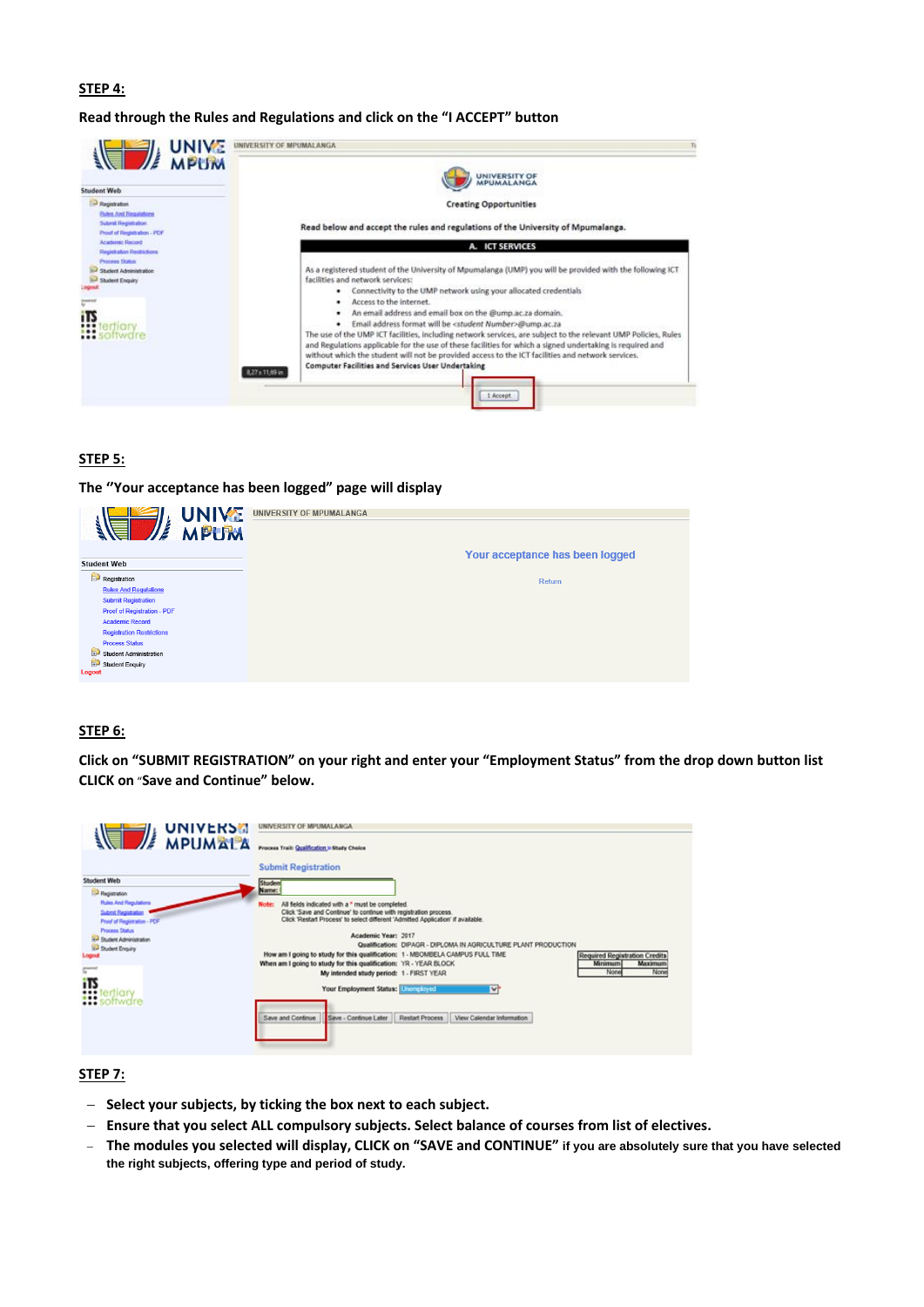#### **STEP 4:**

**Read through the Rules and Regulations and click on the "I ACCEPT" button**



### **STEP 5:**



#### **STEP 6:**

**Click on "SUBMIT REGISTRATION" on your right and enter your "Employment Status" from the drop down button list CLICK on** "**Save and Continue" below.**

| <b>UNIVERS</b>                                     | UNIVERSITY OF MPUMALANGA                                                                                                                             |
|----------------------------------------------------|------------------------------------------------------------------------------------------------------------------------------------------------------|
| <b>MPUMALA</b>                                     | <b>Process Trail: Qualification &gt; Study Choice</b>                                                                                                |
|                                                    | <b>Submit Registration</b>                                                                                                                           |
| Student Web                                        | <b>IStudes</b>                                                                                                                                       |
| <b>Paganation</b>                                  | Name:                                                                                                                                                |
| <b>Rules And Regulations</b>                       | All fields indicated with a * must be completed.<br><b>Note:</b>                                                                                     |
| Submit Registration<br>Proof of Registration - PCF | Click 'Save and Continue' to continue with registration process.<br>Click 'Restart Process' to select different 'Admitted Application' if available. |
| <b>Process Status</b>                              | Academic Year: 2017                                                                                                                                  |
| <b>Sal Student Administration</b>                  | Qualification: DIPAGR - DIPLOMA IN AGRICULTURE PLANT PRODUCTION                                                                                      |
| <b>In Student Enquiry</b><br>Logout                | How am I going to study for this qualification: 1 - MBOMBELA CAMPUS FULL TIME<br>Required Registration Credits                                       |
|                                                    | When am I going to study for this qualification: YR - YEAR BLOCK<br>Maximum<br><b>Minimum</b>                                                        |
| $\frac{1}{2}$                                      | None<br>None<br>My intended study period: 1 - FIRST YEAR                                                                                             |
| iTS                                                | between the control of the state of the control of the control of the control of the control of the control of<br>m.                                 |



### **STEP 7:**

- − **Select your subjects, by ticking the box next to each subject.**
- − **Ensure that you select ALL compulsory subjects. Select balance of courses from list of electives.**
- − **The modules you selected will display, CLICK on "SAVE and CONTINUE" if you are absolutely sure that you have selected the right subjects, offering type and period of study.**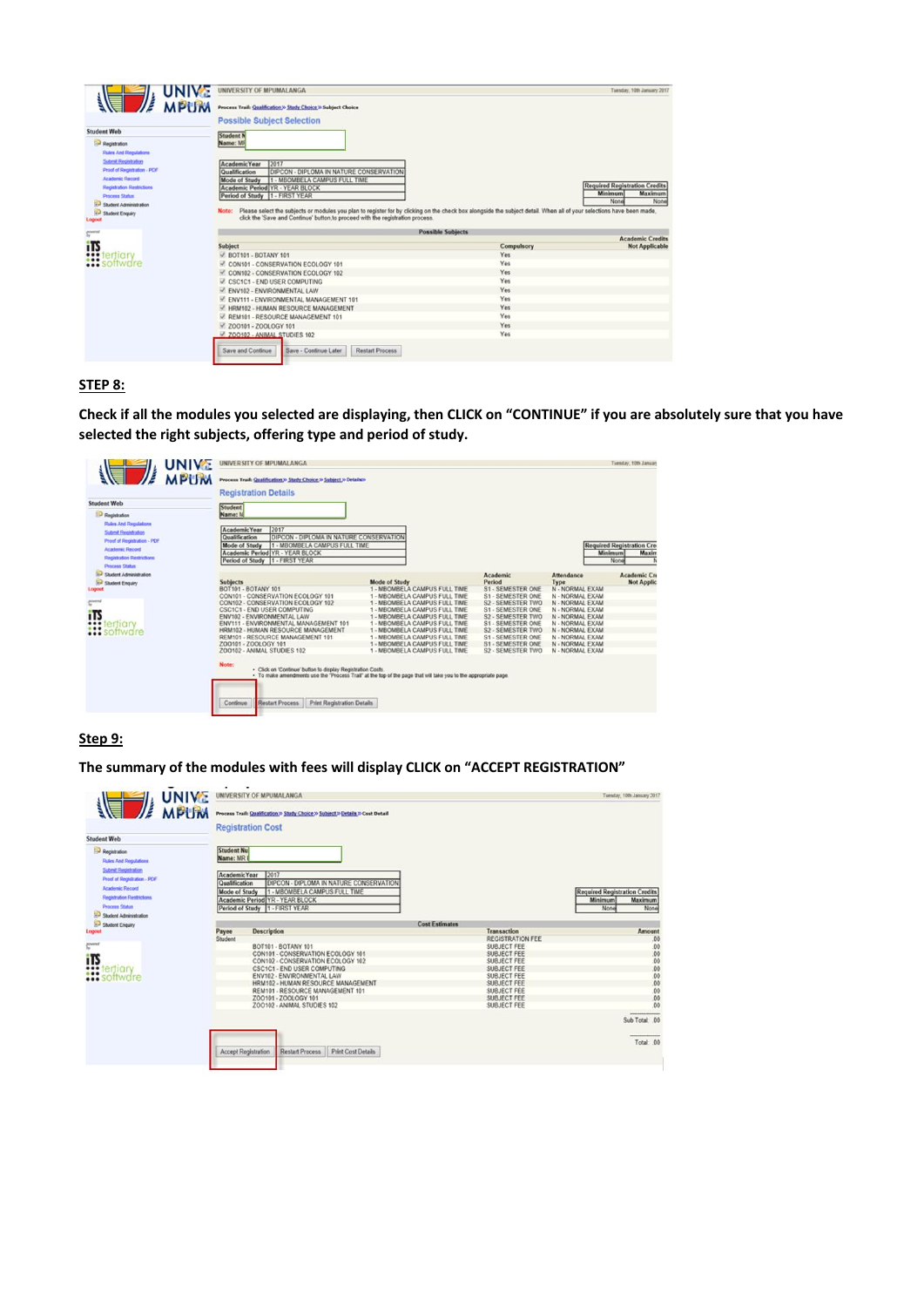| <b>Student Web</b>                                                                                                                                                                      | <b>Possible Subject Selection</b>                                                                                                                                                                                                                       |                          |                                                                            |
|-----------------------------------------------------------------------------------------------------------------------------------------------------------------------------------------|---------------------------------------------------------------------------------------------------------------------------------------------------------------------------------------------------------------------------------------------------------|--------------------------|----------------------------------------------------------------------------|
| Registration<br><b>Rules And Regulations</b>                                                                                                                                            | <b>Student N</b><br>Name: MF                                                                                                                                                                                                                            |                          |                                                                            |
| <b>Submit Registration</b><br>Proof of Registration - PCIF<br><b>Academic Record</b><br><b>Registration Restrictions</b><br>Process Status<br>Student Administration<br>Student Enquiry | 2017<br>Academic Year<br><b>IDIPCON - DIPLOMA IN NATURE CONSERVATION</b><br>Qualification<br>1 - MBOMBELA CAMPUS FULL TIME<br><b>Mode of Study</b><br>Academic Period YR - YEAR BLOCK<br>Period of Study 1 - FIRST YEAR                                 |                          | Required Registration Credits<br><b>Minimum</b><br>Maximum<br>None<br>None |
| Logicut                                                                                                                                                                                 | Please select the subjects or modules you plan to register for by clicking on the check box alongside the subject detail. When all of your selections have been made,<br>click the 'Save and Continue' button to proceed with the registration process. |                          |                                                                            |
|                                                                                                                                                                                         |                                                                                                                                                                                                                                                         | <b>Possible Subjects</b> |                                                                            |
| <b>Control</b>                                                                                                                                                                          |                                                                                                                                                                                                                                                         |                          | <b>Academic Credits</b>                                                    |
|                                                                                                                                                                                         | Subject                                                                                                                                                                                                                                                 | Compulsory               | <b>Not Applicable</b>                                                      |
| <b>ITS</b><br><b>!!!</b> tertiory                                                                                                                                                       | $\angle$ BOT101 - BOTANY 101                                                                                                                                                                                                                            | Yes.                     |                                                                            |
| :: software                                                                                                                                                                             | CON101 - CONSERVATION ECOLOGY 101                                                                                                                                                                                                                       | Yes                      |                                                                            |
|                                                                                                                                                                                         | CON102 - CONSERVATION ECOLOGY 102                                                                                                                                                                                                                       | Yes                      |                                                                            |
|                                                                                                                                                                                         | CSC1C1 - END USER COMPUTING                                                                                                                                                                                                                             | Yes                      |                                                                            |
|                                                                                                                                                                                         | ENV102 - ENVIRONMENTAL LAW                                                                                                                                                                                                                              | Yes                      |                                                                            |
|                                                                                                                                                                                         | M. ENV111 - ENVIRONMENTAL MANAGEMENT 101                                                                                                                                                                                                                | Yes                      |                                                                            |
|                                                                                                                                                                                         | V HRM102 - HUMAN RESOURCE MANAGEMENT                                                                                                                                                                                                                    | Yes                      |                                                                            |
|                                                                                                                                                                                         | M REM101 - RESOURCE MANAGEMENT 101<br>$-200101 - 200$ LOGY 101                                                                                                                                                                                          | Yes<br>Yes               |                                                                            |

# **STEP 8:**

**Check if all the modules you selected are displaying, then CLICK on "CONTINUE" if you are absolutely sure that you have selected the right subjects, offering type and period of study.**

|                                                                                             | <b>Minimum</b><br>None | Attendance                                                                                                     | Academic                                                                                                                          |                                                                                                                                                                                                                                                                                                                    | Student<br>Name: M<br>2017<br><b>AcademicYear</b><br>DIPCON - DIPLOMA IN NATURE CONSERVATION<br>Qualification<br>1 - MBOMBELA CAMPUS FULL TIME<br>Mode of Study<br>Academic Period YR - YEAR BLOCK<br>Period of Study 1 - FIRST YEAR                                                                                                             | <b>Registration</b><br><b>Rules And Regulations</b><br>Submit Registration<br>Proof of Registration - PDF<br><b>Academic Record</b><br>Registration Restrictions |
|---------------------------------------------------------------------------------------------|------------------------|----------------------------------------------------------------------------------------------------------------|-----------------------------------------------------------------------------------------------------------------------------------|--------------------------------------------------------------------------------------------------------------------------------------------------------------------------------------------------------------------------------------------------------------------------------------------------------------------|--------------------------------------------------------------------------------------------------------------------------------------------------------------------------------------------------------------------------------------------------------------------------------------------------------------------------------------------------|------------------------------------------------------------------------------------------------------------------------------------------------------------------|
| <b>Required Registration Cred</b><br>Maxim<br>N<br><b>Academic Cre</b><br><b>Not Applic</b> |                        |                                                                                                                |                                                                                                                                   |                                                                                                                                                                                                                                                                                                                    |                                                                                                                                                                                                                                                                                                                                                  |                                                                                                                                                                  |
|                                                                                             |                        |                                                                                                                |                                                                                                                                   |                                                                                                                                                                                                                                                                                                                    |                                                                                                                                                                                                                                                                                                                                                  |                                                                                                                                                                  |
|                                                                                             |                        |                                                                                                                |                                                                                                                                   |                                                                                                                                                                                                                                                                                                                    |                                                                                                                                                                                                                                                                                                                                                  | Process Status<br><b>Student Administration</b>                                                                                                                  |
|                                                                                             |                        | Type                                                                                                           | Period                                                                                                                            | <b>Mode of Study</b>                                                                                                                                                                                                                                                                                               | <b>Subjects</b>                                                                                                                                                                                                                                                                                                                                  | <b>Student Enquiry</b>                                                                                                                                           |
|                                                                                             |                        | N - NORMAL EXAM                                                                                                | S1 - SEMESTER ONE                                                                                                                 | 1 - MBOMBELA CAMPUS FULL TIME                                                                                                                                                                                                                                                                                      | BOT101 - BOTANY 101                                                                                                                                                                                                                                                                                                                              | Logout                                                                                                                                                           |
|                                                                                             |                        | N - NORMAL EXAM                                                                                                | S1 - SEMESTER ONE                                                                                                                 | 1 - MBOMBELA CAMPUS FULL TIME                                                                                                                                                                                                                                                                                      | CON101 - CONSERVATION ECOLOGY 101                                                                                                                                                                                                                                                                                                                |                                                                                                                                                                  |
|                                                                                             |                        | N - NORMAL EXAM                                                                                                | S2 - SEMESTER TWO                                                                                                                 | 1 - MBOMBELA CAMPUS FULL TIME                                                                                                                                                                                                                                                                                      | CON102 - CONSERVATION ECOLOGY 102                                                                                                                                                                                                                                                                                                                | <b>Pierral</b>                                                                                                                                                   |
|                                                                                             |                        | N - NORMAL EXAM                                                                                                | S1 - SEMESTER ONE                                                                                                                 | 1 - MBOMBELA CAMPUS FULL TIME                                                                                                                                                                                                                                                                                      | CSC1C1 - END USER COMPUTING                                                                                                                                                                                                                                                                                                                      | iTS                                                                                                                                                              |
|                                                                                             |                        |                                                                                                                |                                                                                                                                   |                                                                                                                                                                                                                                                                                                                    |                                                                                                                                                                                                                                                                                                                                                  |                                                                                                                                                                  |
|                                                                                             |                        |                                                                                                                |                                                                                                                                   |                                                                                                                                                                                                                                                                                                                    |                                                                                                                                                                                                                                                                                                                                                  |                                                                                                                                                                  |
|                                                                                             |                        |                                                                                                                |                                                                                                                                   |                                                                                                                                                                                                                                                                                                                    |                                                                                                                                                                                                                                                                                                                                                  |                                                                                                                                                                  |
|                                                                                             |                        |                                                                                                                |                                                                                                                                   |                                                                                                                                                                                                                                                                                                                    |                                                                                                                                                                                                                                                                                                                                                  |                                                                                                                                                                  |
|                                                                                             |                        |                                                                                                                |                                                                                                                                   |                                                                                                                                                                                                                                                                                                                    |                                                                                                                                                                                                                                                                                                                                                  |                                                                                                                                                                  |
|                                                                                             |                        | N - NORMAL EXAM<br>N - NORMAL EXAM<br>N - NORMAL EXAM<br>N - NORMAL EXAM<br>N - NORMAL EXAM<br>N - NORMAL EXAM | S2 - SEMESTER TWO<br>S1 - SEMESTER ONE<br><b>S2 - SEMESTER TWO</b><br>S1 - SEMESTER ONE<br>S1 - SEMESTER ONE<br>S2 - SEMESTER TWO | 1 - MBOMBELA CAMPUS FULL TIME<br>1 - MBOMBELA CAMPUS FULL TIME<br>- MBOMBELA CAMPUS FULL TIME<br>1 - MBOMBELA CAMPUS FULL TIME<br>1 - MBOMBELA CAMPUS FULL TIME<br>1 - MBOMBELA CAMPUS FULL TIME<br>- To make amendments use the "Process Trail" at the top of the page that will take you to the appropriate page | ENV102 - ENVIRONMENTAL LAW<br>ENV111 - ENVIRONMENTAL MANAGEMENT 101<br>HRM102 - HUMAN RESOURCE MANAGEMENT<br>REM101 - RESOURCE MANAGEMENT 101<br>ZOO101 - ZOOLOGY 101<br><b>200102 - ANIMAL STUDIES 102</b><br>Note:<br>. Click on 'Continue' button to display Registration Costs.<br>Restart Process<br>Print Registration Details<br>Continue | <b>*** lertigry</b><br><b>:::</b> software                                                                                                                       |

# **Step 9:**

**The summary of the modules with fees will display CLICK on "ACCEPT REGISTRATION"**

| <b>UNIVE</b>                                             |                        | UNIVERSITY OF MPUMALANGA                                                          |                       |                                            | Tuesday, 10th January 2017           |
|----------------------------------------------------------|------------------------|-----------------------------------------------------------------------------------|-----------------------|--------------------------------------------|--------------------------------------|
| <b>MPUM</b>                                              |                        | Process Trail: Qualification >> Study Choice >> Subject >> Details >> Cost Detail |                       |                                            |                                      |
|                                                          |                        | <b>Registration Cost</b>                                                          |                       |                                            |                                      |
| <b>Student Web</b>                                       |                        |                                                                                   |                       |                                            |                                      |
| Pegistration<br>Rules And Regulations                    | Student Nu<br>Name: MR |                                                                                   |                       |                                            |                                      |
| Sylvenit Registration                                    | Academic Year          | 2017                                                                              |                       |                                            |                                      |
| Proof of Registration - PDF<br><b>Academic Record</b>    | Qualification          | <b>DIPCON - DIPLOMA IN NATURE CONSERVATION</b>                                    |                       |                                            |                                      |
| Registration Restrictions                                | <b>Mode of Study</b>   | 1 - MBOMBELA CAMPUS FULL TIME                                                     |                       |                                            | <b>Required Registration Credits</b> |
| Process Status                                           |                        | Academic Period YR - YEAR BLOCK                                                   |                       |                                            | <b>Minimum</b><br><b>Maximum</b>     |
| Student Administration                                   |                        | Period of Study 1 - FIRST YEAR                                                    |                       |                                            | None<br>None                         |
| Student Enquiry                                          |                        |                                                                                   | <b>Cost Estimates</b> |                                            |                                      |
| Logout                                                   | Payee                  | <b>Description</b>                                                                |                       | Transaction                                | Amount                               |
|                                                          | Student                |                                                                                   |                       | <b>REGISTRATION FEE</b>                    | 00                                   |
| powered<br>Tu                                            |                        | BOT101 - BOTANY 101                                                               |                       | SUBJECT FEE                                |                                      |
|                                                          |                        | CON101 - CONSERVATION ECOLOGY 101                                                 |                       | <b>SUBJECT FEE</b>                         | 00<br>00                             |
| <b>ITS</b><br><i><b>CONTENTION</b></i><br><b>CONTENT</b> |                        | CON102 - CONSERVATION ECOLOGY 102                                                 |                       | SUBJECT FEE                                | 00                                   |
|                                                          |                        | CSC1C1 - END USER COMPUTING                                                       |                       | <b>SUBJECT FEE</b>                         | .00                                  |
|                                                          |                        | ENV102 - ENVIRONMENTAL LAW                                                        |                       | SUBJECT FEE                                | 00.000                               |
|                                                          |                        | HRM102 - HUMAN RESOURCE MANAGEMENT                                                |                       | SUBJECT FEE<br><b>DELIBURER AND STREET</b> | A.K.                                 |

| REM101 - RESOURCE MANAGEMENT 101<br>ZO0101 - ZOOLOGY 101 |  | SUBJECT FEE<br>SUBJECT FEE |  |               |
|----------------------------------------------------------|--|----------------------------|--|---------------|
| ZOO102 - ANIMAL STUDIES 102                              |  | SUBJECT FEE                |  |               |
|                                                          |  |                            |  | Sub Total: 00 |
|                                                          |  |                            |  | Total: .00    |
|                                                          |  |                            |  |               |